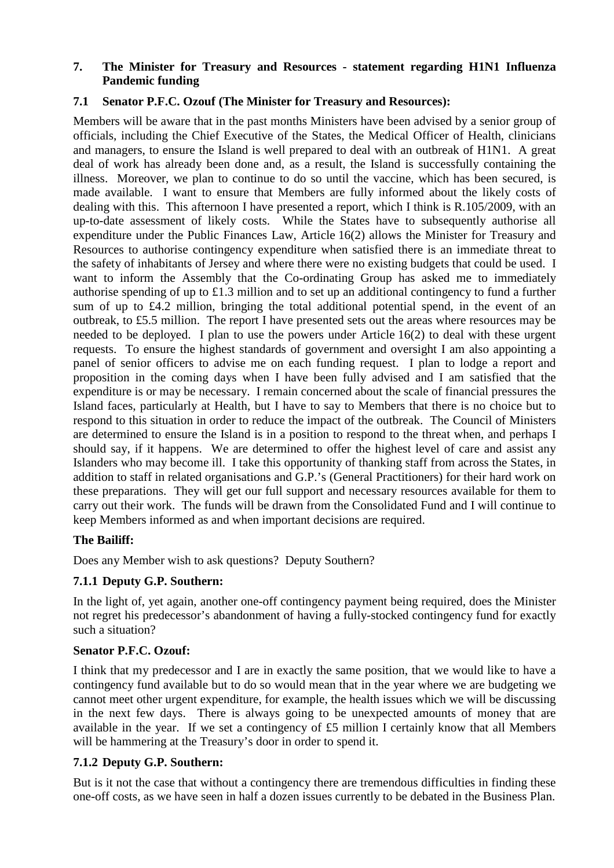## **7. The Minister for Treasury and Resources - statement regarding H1N1 Influenza Pandemic funding**

# **7.1 Senator P.F.C. Ozouf (The Minister for Treasury and Resources):**

Members will be aware that in the past months Ministers have been advised by a senior group of officials, including the Chief Executive of the States, the Medical Officer of Health, clinicians and managers, to ensure the Island is well prepared to deal with an outbreak of H1N1. A great deal of work has already been done and, as a result, the Island is successfully containing the illness. Moreover, we plan to continue to do so until the vaccine, which has been secured, is made available. I want to ensure that Members are fully informed about the likely costs of dealing with this. This afternoon I have presented a report, which I think is R.105/2009, with an up-to-date assessment of likely costs. While the States have to subsequently authorise all expenditure under the Public Finances Law, Article 16(2) allows the Minister for Treasury and Resources to authorise contingency expenditure when satisfied there is an immediate threat to the safety of inhabitants of Jersey and where there were no existing budgets that could be used. I want to inform the Assembly that the Co-ordinating Group has asked me to immediately authorise spending of up to £1.3 million and to set up an additional contingency to fund a further sum of up to £4.2 million, bringing the total additional potential spend, in the event of an outbreak, to £5.5 million. The report I have presented sets out the areas where resources may be needed to be deployed. I plan to use the powers under Article 16(2) to deal with these urgent requests. To ensure the highest standards of government and oversight I am also appointing a panel of senior officers to advise me on each funding request. I plan to lodge a report and proposition in the coming days when I have been fully advised and I am satisfied that the expenditure is or may be necessary. I remain concerned about the scale of financial pressures the Island faces, particularly at Health, but I have to say to Members that there is no choice but to respond to this situation in order to reduce the impact of the outbreak. The Council of Ministers are determined to ensure the Island is in a position to respond to the threat when, and perhaps I should say, if it happens. We are determined to offer the highest level of care and assist any Islanders who may become ill. I take this opportunity of thanking staff from across the States, in addition to staff in related organisations and G.P.'s (General Practitioners) for their hard work on these preparations. They will get our full support and necessary resources available for them to carry out their work. The funds will be drawn from the Consolidated Fund and I will continue to keep Members informed as and when important decisions are required.

# **The Bailiff:**

Does any Member wish to ask questions? Deputy Southern?

# **7.1.1 Deputy G.P. Southern:**

In the light of, yet again, another one-off contingency payment being required, does the Minister not regret his predecessor's abandonment of having a fully-stocked contingency fund for exactly such a situation?

# **Senator P.F.C. Ozouf:**

I think that my predecessor and I are in exactly the same position, that we would like to have a contingency fund available but to do so would mean that in the year where we are budgeting we cannot meet other urgent expenditure, for example, the health issues which we will be discussing in the next few days. There is always going to be unexpected amounts of money that are available in the year. If we set a contingency of £5 million I certainly know that all Members will be hammering at the Treasury's door in order to spend it.

# **7.1.2 Deputy G.P. Southern:**

But is it not the case that without a contingency there are tremendous difficulties in finding these one-off costs, as we have seen in half a dozen issues currently to be debated in the Business Plan.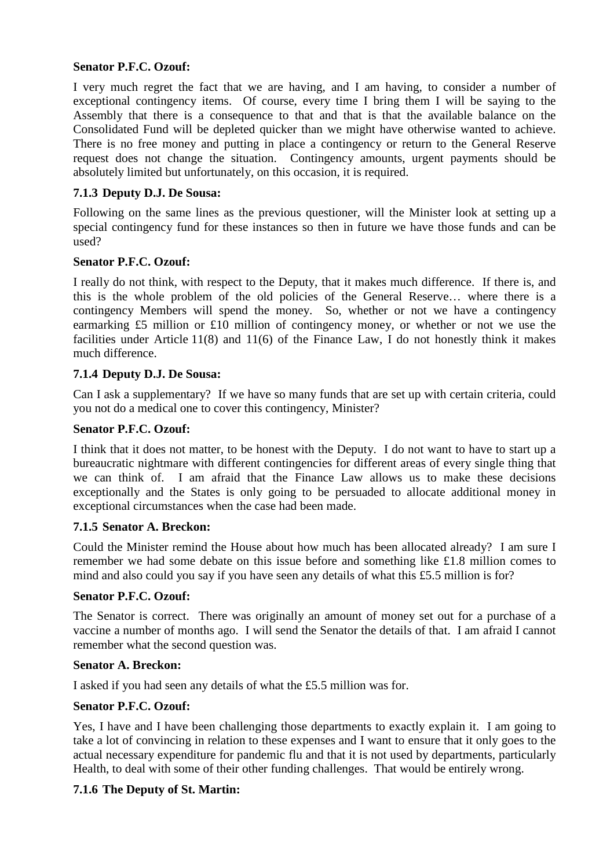## **Senator P.F.C. Ozouf:**

I very much regret the fact that we are having, and I am having, to consider a number of exceptional contingency items. Of course, every time I bring them I will be saying to the Assembly that there is a consequence to that and that is that the available balance on the Consolidated Fund will be depleted quicker than we might have otherwise wanted to achieve. There is no free money and putting in place a contingency or return to the General Reserve request does not change the situation. Contingency amounts, urgent payments should be absolutely limited but unfortunately, on this occasion, it is required.

## **7.1.3 Deputy D.J. De Sousa:**

Following on the same lines as the previous questioner, will the Minister look at setting up a special contingency fund for these instances so then in future we have those funds and can be used?

### **Senator P.F.C. Ozouf:**

I really do not think, with respect to the Deputy, that it makes much difference. If there is, and this is the whole problem of the old policies of the General Reserve… where there is a contingency Members will spend the money. So, whether or not we have a contingency earmarking £5 million or £10 million of contingency money, or whether or not we use the facilities under Article 11(8) and 11(6) of the Finance Law, I do not honestly think it makes much difference.

## **7.1.4 Deputy D.J. De Sousa:**

Can I ask a supplementary? If we have so many funds that are set up with certain criteria, could you not do a medical one to cover this contingency, Minister?

### **Senator P.F.C. Ozouf:**

I think that it does not matter, to be honest with the Deputy. I do not want to have to start up a bureaucratic nightmare with different contingencies for different areas of every single thing that we can think of. I am afraid that the Finance Law allows us to make these decisions exceptionally and the States is only going to be persuaded to allocate additional money in exceptional circumstances when the case had been made.

### **7.1.5 Senator A. Breckon:**

Could the Minister remind the House about how much has been allocated already? I am sure I remember we had some debate on this issue before and something like £1.8 million comes to mind and also could you say if you have seen any details of what this £5.5 million is for?

### **Senator P.F.C. Ozouf:**

The Senator is correct. There was originally an amount of money set out for a purchase of a vaccine a number of months ago. I will send the Senator the details of that. I am afraid I cannot remember what the second question was.

### **Senator A. Breckon:**

I asked if you had seen any details of what the £5.5 million was for.

### **Senator P.F.C. Ozouf:**

Yes, I have and I have been challenging those departments to exactly explain it. I am going to take a lot of convincing in relation to these expenses and I want to ensure that it only goes to the actual necessary expenditure for pandemic flu and that it is not used by departments, particularly Health, to deal with some of their other funding challenges. That would be entirely wrong.

### **7.1.6 The Deputy of St. Martin:**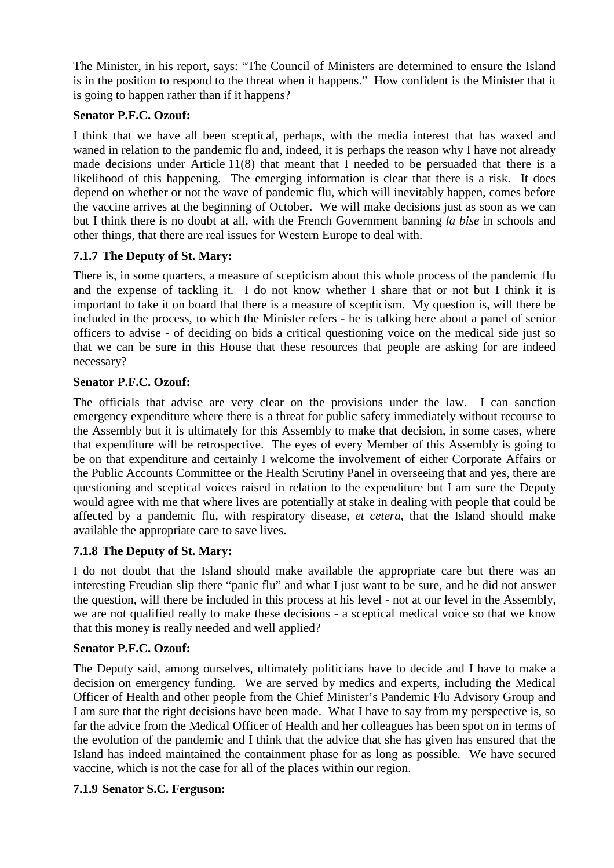The Minister, in his report, says: "The Council of Ministers are determined to ensure the Island is in the position to respond to the threat when it happens." How confident is the Minister that it is going to happen rather than if it happens?

# **Senator P.F.C. Ozouf:**

I think that we have all been sceptical, perhaps, with the media interest that has waxed and waned in relation to the pandemic flu and, indeed, it is perhaps the reason why I have not already made decisions under Article 11(8) that meant that I needed to be persuaded that there is a likelihood of this happening. The emerging information is clear that there is a risk. It does depend on whether or not the wave of pandemic flu, which will inevitably happen, comes before the vaccine arrives at the beginning of October. We will make decisions just as soon as we can but I think there is no doubt at all, with the French Government banning *la bise* in schools and other things, that there are real issues for Western Europe to deal with.

# **7.1.7 The Deputy of St. Mary:**

There is, in some quarters, a measure of scepticism about this whole process of the pandemic flu and the expense of tackling it. I do not know whether I share that or not but I think it is important to take it on board that there is a measure of scepticism. My question is, will there be included in the process, to which the Minister refers - he is talking here about a panel of senior officers to advise - of deciding on bids a critical questioning voice on the medical side just so that we can be sure in this House that these resources that people are asking for are indeed necessary?

# **Senator P.F.C. Ozouf:**

The officials that advise are very clear on the provisions under the law. I can sanction emergency expenditure where there is a threat for public safety immediately without recourse to the Assembly but it is ultimately for this Assembly to make that decision, in some cases, where that expenditure will be retrospective. The eyes of every Member of this Assembly is going to be on that expenditure and certainly I welcome the involvement of either Corporate Affairs or the Public Accounts Committee or the Health Scrutiny Panel in overseeing that and yes, there are questioning and sceptical voices raised in relation to the expenditure but I am sure the Deputy would agree with me that where lives are potentially at stake in dealing with people that could be affected by a pandemic flu, with respiratory disease, *et cetera*, that the Island should make available the appropriate care to save lives.

# **7.1.8 The Deputy of St. Mary:**

I do not doubt that the Island should make available the appropriate care but there was an interesting Freudian slip there "panic flu" and what I just want to be sure, and he did not answer the question, will there be included in this process at his level - not at our level in the Assembly, we are not qualified really to make these decisions - a sceptical medical voice so that we know that this money is really needed and well applied?

# **Senator P.F.C. Ozouf:**

The Deputy said, among ourselves, ultimately politicians have to decide and I have to make a decision on emergency funding. We are served by medics and experts, including the Medical Officer of Health and other people from the Chief Minister's Pandemic Flu Advisory Group and I am sure that the right decisions have been made. What I have to say from my perspective is, so far the advice from the Medical Officer of Health and her colleagues has been spot on in terms of the evolution of the pandemic and I think that the advice that she has given has ensured that the Island has indeed maintained the containment phase for as long as possible. We have secured vaccine, which is not the case for all of the places within our region.

# **7.1.9 Senator S.C. Ferguson:**